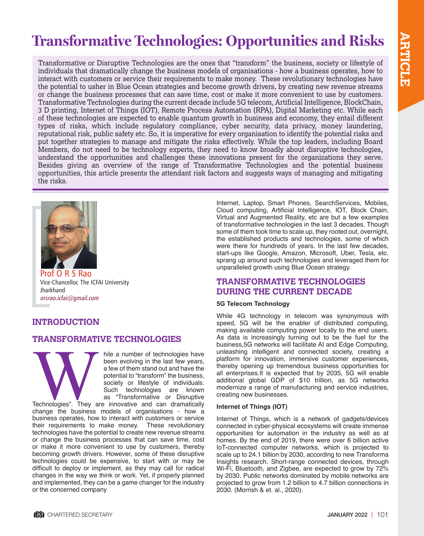# **Transformative Technologies: Opportunities and Risks**

Transformative or Disruptive Technologies are the ones that "transform" the business, society or lifestyle of individuals that dramatically change the business models of organisations - how a business operates, how to interact with customers or service their requirements to make money. These revolutionary technologies have the potential to usher in Blue Ocean strategies and become growth drivers, by creating new revenue streams or change the business processes that can save time, cost or make it more convenient to use by customers. Transformative Technologies during the current decade include 5G telecom, Artificial Intelligence, BlockChain, 3 D printing, Internet of Things (IOT), Remote Process Automation (RPA), Digital Marketing etc. While each of these technologies are expected to enable quantum growth in business and economy, they entail different types of risks, which include regulatory compliance, cyber security, data privacy, money laundering, reputational risk, public safety etc. So, it is imperative for every organisation to identify the potential risks and put together strategies to manage and mitigate the risks effectively. While the top leaders, including Board Members, do not need to be technology experts, they need to know broadly about disruptive technologies, understand the opportunities and challenges these innovations present for the organizations they serve. Besides giving an overview of the range of Transformative Technologies and the potential business opportunities, this article presents the attendant risk factors and suggests ways of managing and mitigating the risks.



Prof O R S Rao Vice-Chancellor, The ICFAI University Jharkhand orsrao.icfai@gmail.com

#### Internet, Laptop, Smart Phones, SearchServices, Mobiles, Cloud computing, Artificial Intelligence, IOT, Block Chain, Virtual and Augmented Reality, etc are but a few examples of transformative technologies in the last 3 decades. Though some of them took time to scale up, they rooted out, overnight, the established products and technologies, some of which were there for hundreds of years. In the last few decades, start-ups like Google, Amazon, Microsoft, Uber, Tesla, etc. sprang up around such technologies and leveraged them for unparalleled growth using Blue Ocean strategy.

# **TRANSFORMATIVE TECHNOLOGIES DURING THE CURRENT DECADE**

# **5G Telecom Technology**

While 4G technology in telecom was synonymous with speed, 5G will be the enabler of distributed computing, making available computing power locally to the end users. As data is increasingly turning out to be the fuel for the business,5G networks will facilitate AI and Edge Computing, unleashing intelligent and connected society, creating a platform for innovation, immersive customer experiences, thereby opening up tremendous business opportunities for all enterprises.It is expected that by 2035, 5G will enable additional global GDP of \$10 trillion, as 5G networks modernize a range of manufacturing and service industries, creating new businesses.

### **Internet of Things (IOT)**

Internet of Things, which is a network of gadgets/devices connected in cyber-physical ecosystems will create immense opportunities for automation in the industry as well as at homes. By the end of 2019, there were over 6 billion active IoT-connected computer networks, which is projected to scale up to 24.1 billion by 2030, according to new Transforma Insights research. Short-range connected devices, through Wi-Fi, Bluetooth, and Zigbee, are expected to grow by 72% by 2030. Public networks dominated by mobile networks are projected to grow from 1.2 billion to 4.7 billion connections in 2030. (Morrish & et. al., 2020).

# **INTRODUCTION**

# **TRANSFORMATIVE TECHNOLOGIES**

hile a number of technologies have<br>been evolving in the last few years,<br>a few of them stand out and have the<br>potential to "transform" the business,<br>society or lifestyle of individuals.<br>Such technologies are known<br>as "Trans been evolving in the last few years, a few of them stand out and have the potential to "transform" the business, society or lifestyle of individuals. Such technologies are known as "Transformative or Disruptive

Technologies". They are innovative and can dramatically change the business models of organisations - how a business operates, how to interact with customers or service their requirements to make money. These revolutionary technologies have the potential to create new revenue streams or change the business processes that can save time, cost or make it more convenient to use by customers, thereby becoming growth drivers. However, some of these disruptive technologies could be expensive, to start with or may be difficult to deploy or implement, as they may call for radical changes in the way we think or work. Yet, if properly planned and implemented, they can be a game changer for the industry or the concerned company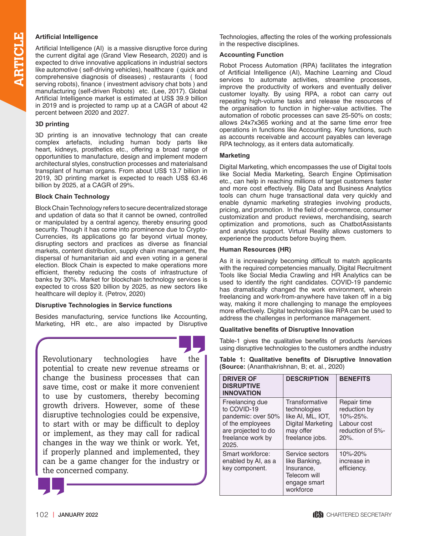**Artificial Intelligence**<br>
Artificial Intelligence (A<br>
the current digital age<br>
expected to drive inno<br>
like automotive (self-d<br>
comprehensive diagno<br>
serving robots). finance Artificial Intelligence (AI) is a massive disruptive force during the current digital age (Grand View Research, 2020) and is expected to drive innovative applications in industrial sectors like automotive ( self-driving vehicles), healthcare ( quick and comprehensive diagnosis of diseases) , restaurants ( food serving robots), finance ( investment advisory chat bots ) and manufacturing (self-driven Robots) etc. (Lee, 2017). Global Artificial Intelligence market is estimated at US\$ 39.9 billion in 2019 and is projected to ramp up at a CAGR of about 42 percent between 2020 and 2027.

#### **3D printing**

3D printing is an innovative technology that can create complex artefacts, including human body parts like heart, kidneys, prosthetics etc., offering a broad range of opportunities to manufacture, design and implement modern architectural styles, construction processes and materialsand transplant of human organs. From about US\$ 13.7 billion in 2019, 3D printing market is expected to reach US\$ 63.46 billion by 2025, at a CAGR of 29%.

#### **Block Chain Technology**

Block Chain Technology refers to secure decentralized storage and updation of data so that it cannot be owned, controlled or manipulated by a central agency, thereby ensuring good security. Though it has come into prominence due to Crypto-Currencies, its applications go far beyond virtual money, disrupting sectors and practices as diverse as financial markets, content distribution, supply chain management, the dispersal of humanitarian aid and even voting in a general election. Block Chain is expected to make operations more efficient, thereby reducing the costs of infrastructure of banks by 30%. Market for blockchain technology services is expected to cross \$20 billion by 2025, as new sectors like healthcare will deploy it. (Petrov, 2020)

### **Disruptive Technologies in Service functions**

Besides manufacturing, service functions like Accounting, Marketing, HR etc., are also impacted by Disruptive

Revolutionary technologies have the potential to create new revenue streams or change the business processes that can save time, cost or make it more convenient to use by customers, thereby becoming growth drivers. However, some of these disruptive technologies could be expensive, to start with or may be difficult to deploy or implement, as they may call for radical changes in the way we think or work. Yet, if properly planned and implemented, they can be a game changer for the industry or the concerned company.



Technologies, affecting the roles of the working professionals in the respective disciplines.

#### **Accounting Function**

Robot Process Automation (RPA) facilitates the integration of Artificial Intelligence (AI), Machine Learning and Cloud services to automate activities, streamline processes, improve the productivity of workers and eventually deliver customer loyalty. By using RPA, a robot can carry out repeating high-volume tasks and release the resources of the organisation to function in higher-value activities. The automation of robotic processes can save 25-50% on costs; allows 24x7x365 working and at the same time error free operations in functions like Accounting. Key functions, such as accounts receivable and account payables can leverage RPA technology, as it enters data automatically.

#### **Marketing**

Digital Marketing, which encompasses the use of Digital tools like Social Media Marketing, Search Engine Optimisation etc., can help in reaching millions of target customers faster and more cost effectively. Big Data and Business Analytics tools can churn huge transactional data very quickly and enable dynamic marketing strategies involving products, pricing, and promotion. In the field of e-commerce, consumer customization and product reviews, merchandising, search optimization and promotions, such as ChatbotAssistants and analytics support. Virtual Reality allows customers to experience the products before buying them.

#### **Human Resources (HR)**

As it is increasingly becoming difficult to match applicants with the required competencies manually, Digital Recruitment Tools like Social Media Crawling and HR Analytics can be used to identify the right candidates. COVID-19 pandemic has dramatically changed the work environment, wherein freelancing and work-from-anywhere have taken off in a big way, making it more challenging to manage the employees more effectively. Digital technologies like RPA can be used to address the challenges in performance management.

#### **Qualitative benefits of Disruptive Innovation**

Table-1 gives the qualitative benefits of products /services using disruptive technologies to the customers andthe industry

|  | Table 1: Qualitative benefits of Disruptive Innovation |  |  |
|--|--------------------------------------------------------|--|--|
|  | <b>(Source:</b> (Ananthakrishnan, B; et. al., 2020)    |  |  |

| <b>DRIVER OF</b><br><b>DISRUPTIVE</b><br><b>INNOVATION</b>                                                                    | <b>DESCRIPTION</b>                                                                                       | <b>BENEFITS</b>                                                                       |
|-------------------------------------------------------------------------------------------------------------------------------|----------------------------------------------------------------------------------------------------------|---------------------------------------------------------------------------------------|
| Freelancing due<br>to COVID-19<br>pandemic: over 50%<br>of the employees<br>are projected to do<br>freelance work by<br>2025. | Transformative<br>technologies<br>like AI, ML, IOT,<br>Digital Marketing<br>may offer<br>freelance jobs. | Repair time<br>reduction by<br>10%-25%.<br>Labour cost<br>reduction of 5%-<br>$20%$ . |
| Smart workforce:<br>enabled by AI, as a<br>key component.                                                                     | Service sectors<br>like Banking,<br>Insurance,<br>Telecom will<br>engage smart<br>workforce              | 10%-20%<br>increase in<br>efficiency.                                                 |

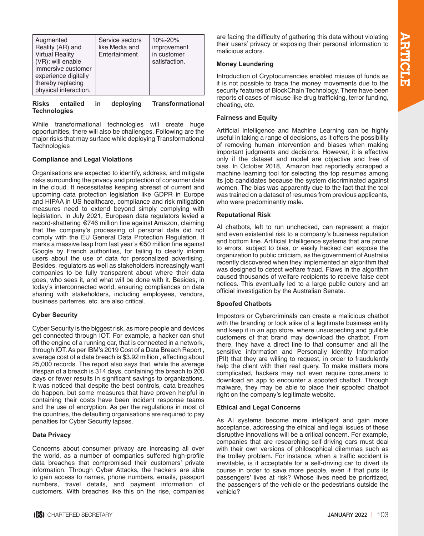| Augmented<br>Reality (AR) and<br><b>Virtual Reality</b><br>(VR): will enable<br>immersive customer<br>experience digitally<br>thereby replacing<br>physical interaction. | Service sectors<br>like Media and<br>Entertainment | 10%-20%<br>improvement<br>in customer<br>satisfaction. |
|--------------------------------------------------------------------------------------------------------------------------------------------------------------------------|----------------------------------------------------|--------------------------------------------------------|
|--------------------------------------------------------------------------------------------------------------------------------------------------------------------------|----------------------------------------------------|--------------------------------------------------------|

**Risks entailed in deploying Transformational Technologies** 

While transformational technologies will create huge opportunities, there will also be challenges. Following are the major risks that may surface while deploying Transformational **Technologies** 

#### **Compliance and Legal Violations**

Organisations are expected to identify, address, and mitigate risks surrounding the privacy and protection of consumer data in the cloud. It necessitates keeping abreast of current and upcoming data protection legislation like GDPR in Europe and HIPAA in US healthcare, compliance and risk mitigation measures need to extend beyond simply complying with legislation. In July 2021, European data regulators levied a record-shattering €746 million fine against Amazon, claiming that the company's processing of personal data did not comply with the EU General Data Protection Regulation. It marks a massive leap from last year's €50 million fine against Google by French authorities, for failing to clearly inform users about the use of data for personalized advertising. Besides, regulators as well as stakeholders increasingly want companies to be fully transparent about where their data goes, who sees it, and what will be done with it. Besides, in today's interconnected world, ensuring compliances on data sharing with stakeholders, including employees, vendors, business parterres, etc. are also critical.

#### **Cyber Security**

Cyber Security is the biggest risk, as more people and devices get connected through IOT. For example, a hacker can shut off the engine of a running car, that is connected in a network, through IOT. As per [IBM's 2019 Cost of a Data Breach Report](https://www.ibm.com/security/data-breach?cm_mmc=Search_Google-_-Security_Optimize+the+Security+Program-_-WW_NA-_-%2Bbreach%20of%20%2Bdata_b&cm_mmca1=000000NJ&cm_mmca2=10000253&cm_mmca7=9001884&cm_mmca8=aud-393899736125:kwd-295901324379&cm_mmca9=CjwKCAiA__HvBRACEiwAbViuU25BqAMoygM5guo80HcRql64b_iHitNZVGWkXC4b9JUy1EjHGYJYtxoCGocQAvD_BwE&cm_mmca10=396533568135&cm_mmca11=b&gclid=CjwKCAiA__HvBRACEiwAbViuU25BqAMoygM5guo80HcRql64b_iHitNZVGWkXC4b9JUy1EjHGYJYtxoCGocQAvD_BwE&gclsrc=aw.ds) , average cost of a data breach is \$3.92 million , affecting about 25,000 records. The report also says that, while the average lifespan of a breach is 314 days, containing the breach to 200 days or fewer results in significant savings to organizations. It was noticed that despite the best controls, data breaches do happen, but some measures that have proven helpful in containing their costs have been incident response teams and the use of encryption. As per the regulations in most of the countries, the defaulting organisations are required to pay penalties for Cyber Security lapses.

#### **Data Privacy**

Concerns about consumer privacy are increasing all over the world, as a number of companies suffered high-profile data breaches that compromised their customers' private information. Through Cyber Attacks, the hackers are able to gain access to names, phone numbers, emails, passport numbers, travel details, and payment information of customers. With breaches like this on the rise, companies are facing the difficulty of gathering this data without violating their users' privacy or exposing their personal information to malicious actors.

#### **Money Laundering**

Introduction of Cryptocurrencies enabled misuse of funds as it is not possible to trace the money movements due to the security features of BlockChain Technology. There have been reports of cases of misuse like drug trafficking, terror funding, cheating, etc.

#### **Fairness and Equity**

Artificial Intelligence and Machine Learning can be highly useful in taking a range of decisions, as it offers the possibility of removing human intervention and biases when making important judgments and decisions. However, it is effective only if the dataset and model are objective and free of bias. In October 2018, [Amazon had reportedly scrapped a](https://www.businessinsider.com/amazon-built-ai-to-hire-people-discriminated-against-women-2018-10?r=UK&IR=T) [machine learning tool](https://www.businessinsider.com/amazon-built-ai-to-hire-people-discriminated-against-women-2018-10?r=UK&IR=T) for selecting the top resumes among its job candidates because the system discriminated against women. The bias was apparently due to the fact that the tool was trained on a dataset of resumes from previous applicants, who were predominantly male.

#### **Reputational Risk**

AI chatbots, left to run unchecked, can represent a major and even existential risk to a company's business reputation and bottom line. Artificial Intelligence systems that are prone to errors, subject to bias, or easily hacked can expose the organization to public criticism, as the government of Australia recently discovered when they implemented an algorithm that was designed to detect welfare fraud. Flaws in the algorithm caused thousands of welfare recipients to receive false debt notices. This eventually led to a large public outcry and an official investigation by the Australian Senate.

#### **Spoofed Chatbots**

Impostors or Cybercriminals can create a malicious chatbot with the branding or look alike of a legitimate business entity and keep it in an app store, where unsuspecting and gullible customers of that brand may download the chatbot. From there, they have a direct line to that consumer and all the sensitive information and Personally Identity Information (PII) that they are willing to request, in order to fraudulently help the client with their real query. To make matters more complicated, hackers may not even require consumers to download an app to encounter a spoofed chatbot. Through malware, they may be able to place their spoofed chatbot right on the company's legitimate website.

#### **Ethical and Legal Concerns**

As AI systems become more intelligent and gain more acceptance, addressing the ethical and legal issues of these disruptive innovations will be a critical concern. For example, companies that are researching self-driving cars must deal with their own versions of philosophical dilemmas such as the trolley problem. For instance, when a traffic accident is inevitable, is it acceptable for a self-driving car to divert its course in order to save more people, even if that puts its passengers' lives at risk? Whose lives need be prioritized, the passengers of the vehicle or the pedestrians outside the vehicle?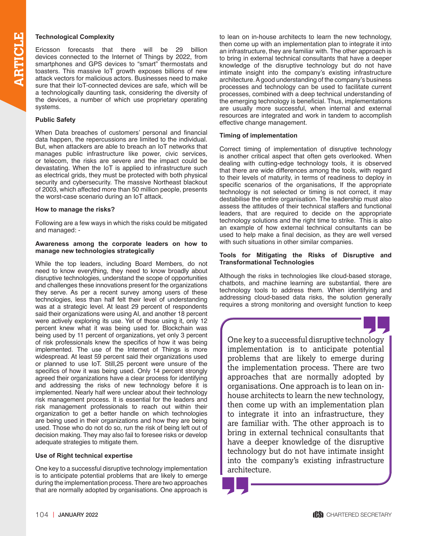**ARTICLE SCIED SECURITE:**<br>
Ericsson forecasts that<br>
devices connected to the Ir<br>
smartphones and GPS devices<br>
toasters. This massive IoT<br>
attack vectors for malicious a<br>
sure that their IoT-connected Ericsson forecasts that there will be [29 billion](https://www.ericsson.com/en/mobility-report/internet-of-things-forecast)  [devices connected to the Internet of Things by 2022](https://www.ericsson.com/en/mobility-report/internet-of-things-forecast), from smartphones and GPS devices to "smart" thermostats and toasters. This massive IoT growth exposes billions of new attack vectors for malicious actors. Businesses need to make sure that their IoT-connected devices are safe, which will be a technologically daunting task, considering the diversity of the devices, a number of which use proprietary operating systems.

#### **Public Safety**

When Data breaches of customers' personal and financial data happen, the repercussions are limited to the individual. But, when attackers are able to breach an IoT networks that manages public infrastructure like power, civic services, or telecom, the risks are severe and the impact could be devastating. When the IoT is applied to infrastructure such as electrical grids, they must be protected with both [physical](https://www.resolver.com/resource/physical-cybersecurity-defense-hybrid-attacks-raising-stakes/)  [security and cybersecurity](https://www.resolver.com/resource/physical-cybersecurity-defense-hybrid-attacks-raising-stakes/). The massive [Northeast blackout](https://www.theatlantic.com/photo/2018/08/photos-15-years-since-the-2003-northeast-blackout/567410/)  [of 2003](https://www.theatlantic.com/photo/2018/08/photos-15-years-since-the-2003-northeast-blackout/567410/), which affected more than 50 million people, presents the worst-case scenario during an IoT attack.

#### **How to manage the risks?**

Following are a few ways in which the risks could be mitigated and managed: -

#### **Awareness among the corporate leaders on how to manage new technologies strategically**

While the top leaders, including Board Members, do not need to know everything, they need to know broadly about disruptive technologies, understand the scope of opportunities and challenges these innovations present for the organizations they serve. As per a recent survey among users of these technologies, less than half felt their level of understanding was at a strategic level. At least 29 percent of respondents said their organizations were using AI, and another 18 percent were actively exploring its use. Yet of those using it, only 12 percent knew what it was being used for. Blockchain was being used by 11 percent of organizations, yet only 3 percent of risk professionals knew the specifics of how it was being implemented. The use of the Internet of Things is more widespread. At least 59 percent said their organizations used or planned to use IoT. Still,25 percent were unsure of the specifics of how it was being used. Only 14 percent strongly agreed their organizations have a clear process for identifying and addressing the risks of new technology before it is implemented. Nearly half were unclear about their technology risk management process. It is essential for the leaders and risk management professionals to reach out within their organization to get a better handle on which technologies are being used in their organizations and how they are being used. Those who do not do so, run the risk of being left out of decision making. They may also fail to foresee risks or develop adequate strategies to mitigate them.

#### **Use of Right technical expertise**

One key to a successful disruptive technology implementation is to anticipate potential problems that are likely to emerge during the implementation process. There are two approaches that are normally adopted by organisations. One approach is to lean on in-house architects to learn the new technology, then come up with an implementation plan to integrate it into an infrastructure, they are familiar with. The other approach is to bring in external technical consultants that have a deeper knowledge of the disruptive technology but do not have intimate insight into the company's existing infrastructure architecture. A good understanding of the company's business processes and technology can be used to facilitate current processes, combined with a deep technical understanding of the emerging technology is beneficial. Thus, implementations are usually more successful, when internal and external resources are integrated and work in tandem to accomplish effective change management.

#### **Timing of implementation**

Correct timing of implementation of disruptive technology is another critical aspect that often gets overlooked. When dealing with cutting-edge technology tools, it is observed that there are wide differences among the tools, with regard to their levels of maturity, in terms of readiness to deploy in specific scenarios of the organisations, If the appropriate technology is not selected or timing is not correct, it may destabilise the entire organisation. The leadership must also assess the attitudes of their technical staffers and functional leaders, that are required to decide on the appropriate technology solutions and the right time to strike. This is also an example of how external technical consultants can be used to help make a final decision, as they are well versed with such situations in other similar companies.

#### **Tools for Mitigating the Risks of Disruptive and Transformational Technologies**

Although the risks in technologies like cloud-based storage, chatbots, and machine learning are substantial, there are technology tools to address them. When identifying and addressing cloud-based data risks, the solution generally requires a strong monitoring and oversight function to keep



One key to a successful disruptive technology implementation is to anticipate potential problems that are likely to emerge during the implementation process. There are two approaches that are normally adopted by organisations. One approach is to lean on inhouse architects to learn the new technology, then come up with an implementation plan to integrate it into an infrastructure, they are familiar with. The other approach is to bring in external technical consultants that have a deeper knowledge of the disruptive technology but do not have intimate insight into the company's existing infrastructure architecture.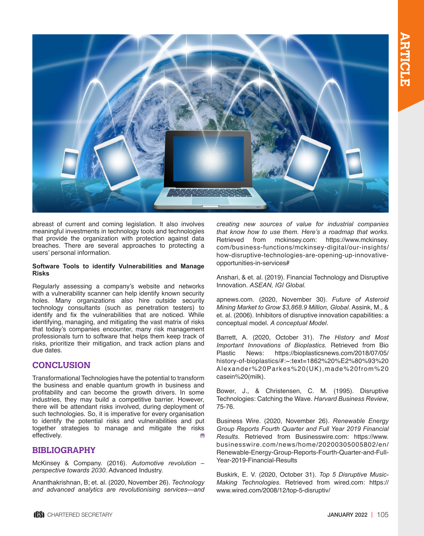

abreast of current and coming legislation. It also involves meaningful investments in technology tools and technologies that provide the organization with protection against data breaches. There are several approaches to protecting a users' personal information.

#### **Software Tools to identify Vulnerabilities and Manage Risks**

Regularly assessing a company's website and networks with a vulnerability scanner can help identify known security holes. Many organizations also hire outside security technology consultants (such as penetration testers) to identify and fix the vulnerabilities that are noticed. While identifying, managing, and mitigating the vast matrix of risks that today's companies encounter, many risk management professionals turn to software that helps them keep track of risks, prioritize their mitigation, and track action plans and due dates.

# **CONCLUSION**

Transformational Technologies have the potential to transform the business and enable quantum growth in business and profitability and can become the growth drivers. In some industries, they may build a competitive barrier. However, there will be attendant risks involved, during deployment of such technologies. So, it is imperative for every organisation to identify the potential risks and vulnerabilities and put together strategies to manage and mitigate the risks effectively.

# **BIBLIOGRAPHY**

McKinsey & Company. (2016). *Automotive revolution – perspective towards 2030.* Advanced Industry.

Ananthakrishnan, B; et. al. (2020, November 26). *Technology and advanced analytics are revolutionising services—and*  *creating new sources of value for industrial companies that know how to use them. Here's a roadmap that works.* Retrieved from mckinsey.com: https://www.mckinsey. com/business-functions/mckinsey-digital/our-insights/ how-disruptive-technologies-are-opening-up-innovativeopportunities-in-services#

Anshari, & et. al. (2019). Financial Technology and Disruptive Innovation. *ASEAN, IGI Global*.

apnews.com. (2020, November 30). *Future of Asteroid Mining Market to Grow \$3,868.9 Million, Global*. Assink, M., & et. al. (2006). Inhibitors of disruptive innovation capabilities: a conceptual model. *A conceptual Model*.

Barrett, A. (2020, October 31). *The History and Most Important Innovations of Bioplastics*. Retrieved from Bio Plastic News: https://bioplasticsnews.com/2018/07/05/ history-of-bioplastics/#:~:text=1862%20%E2%80%93%20 Alexander%20Parkes%20(UK),made%20from%20 casein%20(milk).

Bower, J., & Christensen, C. M. (1995). Disruptive Technologies: Catching the Wave. *Harvard Business Review*, 75-76.

Business Wire. (2020, November 26). *Renewable Energy Group Reports Fourth Quarter and Full Year 2019 Financial Results*. Retrieved from Businesswire.com: https://www. businesswire.com/news/home/20200305005802/en/ Renewable-Energy-Group-Reports-Fourth-Quarter-and-Full-Year-2019-Financial-Results

Buskirk, E. V. (2020, October 31). *Top 5 Disruptive Music-Making Technologies*. Retrieved from wired.com: https:// www.wired.com/2008/12/top-5-disruptiv/